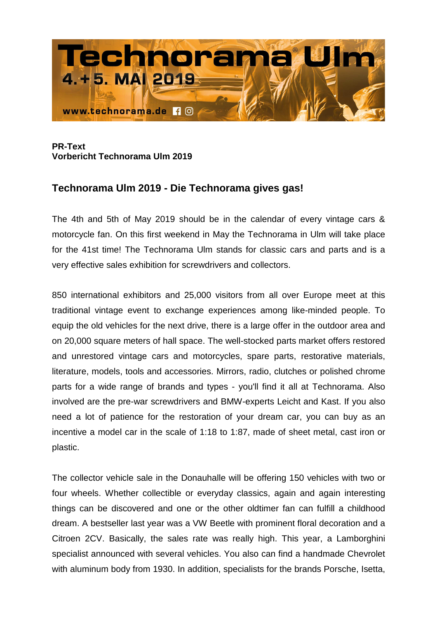

## **PR-Text Vorbericht Technorama Ulm 2019**

## **Technorama Ulm 2019 - Die Technorama gives gas!**

The 4th and 5th of May 2019 should be in the calendar of every vintage cars & motorcycle fan. On this first weekend in May the Technorama in Ulm will take place for the 41st time! The Technorama Ulm stands for classic cars and parts and is a very effective sales exhibition for screwdrivers and collectors.

850 international exhibitors and 25,000 visitors from all over Europe meet at this traditional vintage event to exchange experiences among like-minded people. To equip the old vehicles for the next drive, there is a large offer in the outdoor area and on 20,000 square meters of hall space. The well-stocked parts market offers restored and unrestored vintage cars and motorcycles, spare parts, restorative materials, literature, models, tools and accessories. Mirrors, radio, clutches or polished chrome parts for a wide range of brands and types - you'll find it all at Technorama. Also involved are the pre-war screwdrivers and BMW-experts Leicht and Kast. If you also need a lot of patience for the restoration of your dream car, you can buy as an incentive a model car in the scale of 1:18 to 1:87, made of sheet metal, cast iron or plastic.

The collector vehicle sale in the Donauhalle will be offering 150 vehicles with two or four wheels. Whether collectible or everyday classics, again and again interesting things can be discovered and one or the other oldtimer fan can fulfill a childhood dream. A bestseller last year was a VW Beetle with prominent floral decoration and a Citroen 2CV. Basically, the sales rate was really high. This year, a Lamborghini specialist announced with several vehicles. You also can find a handmade Chevrolet with aluminum body from 1930. In addition, specialists for the brands Porsche, Isetta,